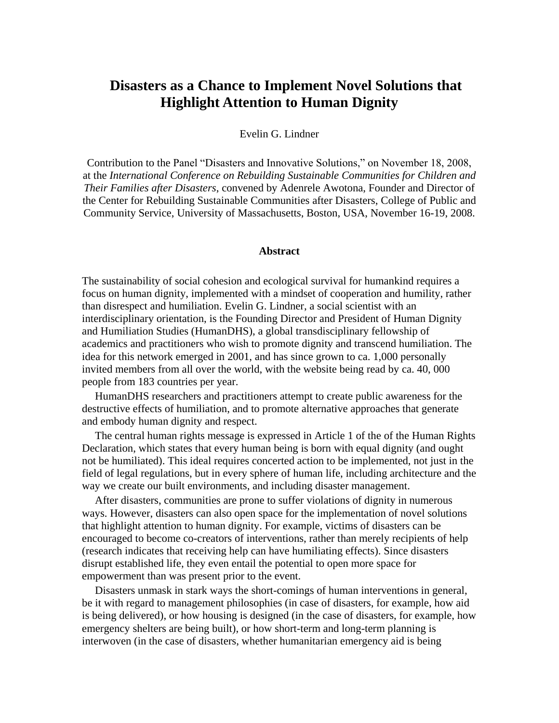#### Evelin G. Lindner

Contribution to the Panel "Disasters and Innovative Solutions," on November 18, 2008, at the *International Conference on Rebuilding Sustainable Communities for Children and Their Families after Disasters*, convened by Adenrele Awotona, Founder and Director of the Center for Rebuilding Sustainable Communities after Disasters, College of Public and Community Service, University of Massachusetts, Boston, USA, November 16-19, 2008.

#### **Abstract**

The sustainability of social cohesion and ecological survival for humankind requires a focus on human dignity, implemented with a mindset of cooperation and humility, rather than disrespect and humiliation. Evelin G. Lindner, a social scientist with an interdisciplinary orientation, is the Founding Director and President of Human Dignity and Humiliation Studies (HumanDHS), a global transdisciplinary fellowship of academics and practitioners who wish to promote dignity and transcend humiliation. The idea for this network emerged in 2001, and has since grown to ca. 1,000 personally invited members from all over the world, with the website being read by ca. 40, 000 people from 183 countries per year.

HumanDHS researchers and practitioners attempt to create public awareness for the destructive effects of humiliation, and to promote alternative approaches that generate and embody human dignity and respect.

The central human rights message is expressed in Article 1 of the of the Human Rights Declaration, which states that every human being is born with equal dignity (and ought not be humiliated). This ideal requires concerted action to be implemented, not just in the field of legal regulations, but in every sphere of human life, including architecture and the way we create our built environments, and including disaster management.

After disasters, communities are prone to suffer violations of dignity in numerous ways. However, disasters can also open space for the implementation of novel solutions that highlight attention to human dignity. For example, victims of disasters can be encouraged to become co-creators of interventions, rather than merely recipients of help (research indicates that receiving help can have humiliating effects). Since disasters disrupt established life, they even entail the potential to open more space for empowerment than was present prior to the event.

Disasters unmask in stark ways the short-comings of human interventions in general, be it with regard to management philosophies (in case of disasters, for example, how aid is being delivered), or how housing is designed (in the case of disasters, for example, how emergency shelters are being built), or how short-term and long-term planning is interwoven (in the case of disasters, whether humanitarian emergency aid is being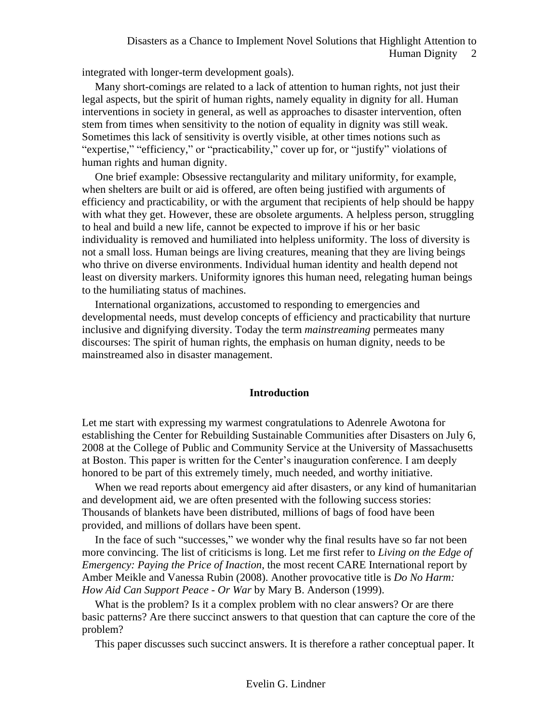integrated with longer-term development goals).

Many short-comings are related to a lack of attention to human rights, not just their legal aspects, but the spirit of human rights, namely equality in dignity for all. Human interventions in society in general, as well as approaches to disaster intervention, often stem from times when sensitivity to the notion of equality in dignity was still weak. Sometimes this lack of sensitivity is overtly visible, at other times notions such as "expertise," "efficiency," or "practicability," cover up for, or "justify" violations of human rights and human dignity.

One brief example: Obsessive rectangularity and military uniformity, for example, when shelters are built or aid is offered, are often being justified with arguments of efficiency and practicability, or with the argument that recipients of help should be happy with what they get. However, these are obsolete arguments. A helpless person, struggling to heal and build a new life, cannot be expected to improve if his or her basic individuality is removed and humiliated into helpless uniformity. The loss of diversity is not a small loss. Human beings are living creatures, meaning that they are living beings who thrive on diverse environments. Individual human identity and health depend not least on diversity markers. Uniformity ignores this human need, relegating human beings to the humiliating status of machines.

International organizations, accustomed to responding to emergencies and developmental needs, must develop concepts of efficiency and practicability that nurture inclusive and dignifying diversity. Today the term *mainstreaming* permeates many discourses: The spirit of human rights, the emphasis on human dignity, needs to be mainstreamed also in disaster management.

#### **Introduction**

Let me start with expressing my warmest congratulations to Adenrele Awotona for establishing the Center for Rebuilding Sustainable Communities after Disasters on July 6, 2008 at the College of Public and Community Service at the University of Massachusetts at Boston. This paper is written for the Center's inauguration conference. I am deeply honored to be part of this extremely timely, much needed, and worthy initiative.

When we read reports about emergency aid after disasters, or any kind of humanitarian and development aid, we are often presented with the following success stories: Thousands of blankets have been distributed, millions of bags of food have been provided, and millions of dollars have been spent.

In the face of such "successes," we wonder why the final results have so far not been more convincing. The list of criticisms is long. Let me first refer to *Living on the Edge of Emergency: Paying the Price of Inaction*, the most recent CARE International report by Amber Meikle and Vanessa Rubin (2008). Another provocative title is *Do No Harm: How Aid Can Support Peace - Or War* by Mary B. Anderson (1999).

What is the problem? Is it a complex problem with no clear answers? Or are there basic patterns? Are there succinct answers to that question that can capture the core of the problem?

This paper discusses such succinct answers. It is therefore a rather conceptual paper. It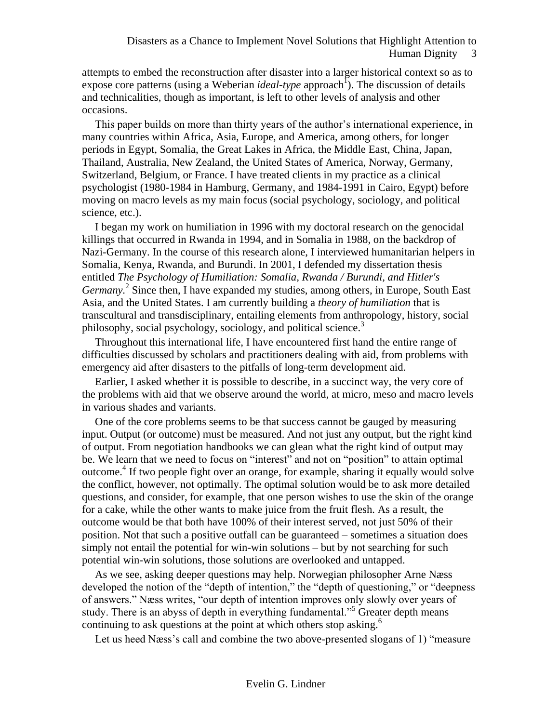attempts to embed the reconstruction after disaster into a larger historical context so as to expose core patterns (using a Weberian *ideal-type* approach<sup>1</sup>). The discussion of details and technicalities, though as important, is left to other levels of analysis and other occasions.

This paper builds on more than thirty years of the author's international experience, in many countries within Africa, Asia, Europe, and America, among others, for longer periods in Egypt, Somalia, the Great Lakes in Africa, the Middle East, China, Japan, Thailand, Australia, New Zealand, the United States of America, Norway, Germany, Switzerland, Belgium, or France. I have treated clients in my practice as a clinical psychologist (1980-1984 in Hamburg, Germany, and 1984-1991 in Cairo, Egypt) before moving on macro levels as my main focus (social psychology, sociology, and political science, etc.).

I began my work on humiliation in 1996 with my doctoral research on the genocidal killings that occurred in Rwanda in 1994, and in Somalia in 1988, on the backdrop of Nazi-Germany. In the course of this research alone, I interviewed humanitarian helpers in Somalia, Kenya, Rwanda, and Burundi. In 2001, I defended my dissertation thesis entitled *The Psychology of Humiliation: Somalia, Rwanda / Burundi, and Hitler's*  Germany.<sup>2</sup> Since then, I have expanded my studies, among others, in Europe, South East Asia, and the United States. I am currently building a *theory of humiliation* that is transcultural and transdisciplinary, entailing elements from anthropology, history, social philosophy, social psychology, sociology, and political science.<sup>3</sup>

Throughout this international life, I have encountered first hand the entire range of difficulties discussed by scholars and practitioners dealing with aid, from problems with emergency aid after disasters to the pitfalls of long-term development aid.

Earlier, I asked whether it is possible to describe, in a succinct way, the very core of the problems with aid that we observe around the world, at micro, meso and macro levels in various shades and variants.

One of the core problems seems to be that success cannot be gauged by measuring input. Output (or outcome) must be measured. And not just any output, but the right kind of output. From negotiation handbooks we can glean what the right kind of output may be. We learn that we need to focus on "interest" and not on "position" to attain optimal outcome. 4 If two people fight over an orange, for example, sharing it equally would solve the conflict, however, not optimally. The optimal solution would be to ask more detailed questions, and consider, for example, that one person wishes to use the skin of the orange for a cake, while the other wants to make juice from the fruit flesh. As a result, the outcome would be that both have 100% of their interest served, not just 50% of their position. Not that such a positive outfall can be guaranteed – sometimes a situation does simply not entail the potential for win-win solutions – but by not searching for such potential win-win solutions, those solutions are overlooked and untapped.

As we see, asking deeper questions may help. Norwegian philosopher Arne Næss developed the notion of the "depth of intention," the "depth of questioning," or "deepness of answers." Næss writes, "our depth of intention improves only slowly over years of study. There is an abyss of depth in everything fundamental."<sup>5</sup> Greater depth means continuing to ask questions at the point at which others stop asking.<sup>6</sup>

Let us heed Næss's call and combine the two above-presented slogans of 1) "measure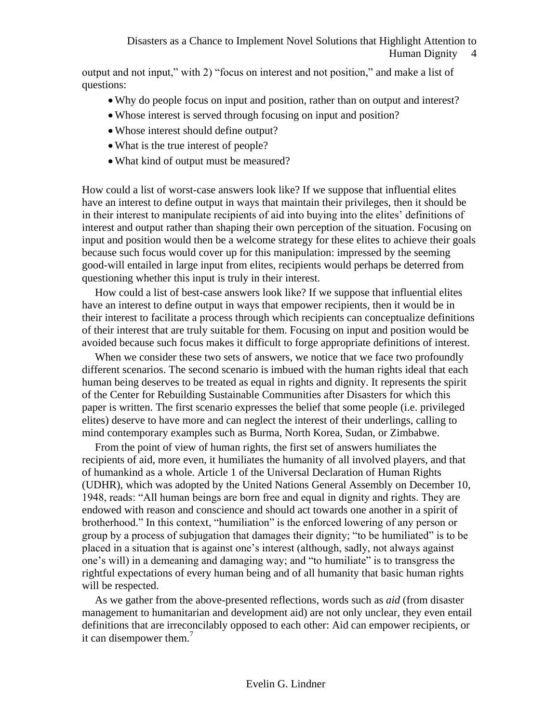# Human Dignity 4

output and not input," with 2) "focus on interest and not position," and make a list of questions:

- Why do people focus on input and position, rather than on output and interest?
- Whose interest is served through focusing on input and position?
- Whose interest should define output?
- What is the true interest of people?
- What kind of output must be measured?

How could a list of worst-case answers look like? If we suppose that influential elites have an interest to define output in ways that maintain their privileges, then it should be in their interest to manipulate recipients of aid into buying into the elites' definitions of interest and output rather than shaping their own perception of the situation. Focusing on input and position would then be a welcome strategy for these elites to achieve their goals because such focus would cover up for this manipulation: impressed by the seeming good-will entailed in large input from elites, recipients would perhaps be deterred from questioning whether this input is truly in their interest.

How could a list of best-case answers look like? If we suppose that influential elites have an interest to define output in ways that empower recipients, then it would be in their interest to facilitate a process through which recipients can conceptualize definitions of their interest that are truly suitable for them. Focusing on input and position would be avoided because such focus makes it difficult to forge appropriate definitions of interest.

When we consider these two sets of answers, we notice that we face two profoundly different scenarios. The second scenario is imbued with the human rights ideal that each human being deserves to be treated as equal in rights and dignity. It represents the spirit of the Center for Rebuilding Sustainable Communities after Disasters for which this paper is written. The first scenario expresses the belief that some people (i.e. privileged elites) deserve to have more and can neglect the interest of their underlings, calling to mind contemporary examples such as Burma, North Korea, Sudan, or Zimbabwe.

From the point of view of human rights, the first set of answers humiliates the recipients of aid, more even, it humiliates the humanity of all involved players, and that of humankind as a whole. Article 1 of the Universal Declaration of Human Rights (UDHR), which was adopted by the United Nations General Assembly on December 10, 1948, reads: "All human beings are born free and equal in dignity and rights. They are endowed with reason and conscience and should act towards one another in a spirit of brotherhood." In this context, "humiliation" is the enforced lowering of any person or group by a process of subjugation that damages their dignity; "to be humiliated" is to be placed in a situation that is against one's interest (although, sadly, not always against one's will) in a demeaning and damaging way; and "to humiliate" is to transgress the rightful expectations of every human being and of all humanity that basic human rights will be respected.

As we gather from the above-presented reflections, words such as *aid* (from disaster management to humanitarian and development aid) are not only unclear, they even entail definitions that are irreconcilably opposed to each other: Aid can empower recipients, or it can disempower them.<sup>7</sup>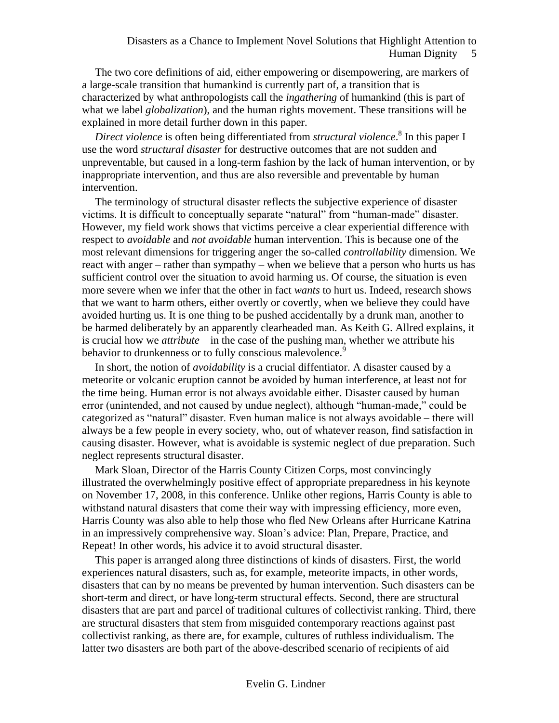The two core definitions of aid, either empowering or disempowering, are markers of a large-scale transition that humankind is currently part of, a transition that is characterized by what anthropologists call the *ingathering* of humankind (this is part of what we label *globalization*), and the human rights movement. These transitions will be explained in more detail further down in this paper.

*Direct violence* is often being differentiated from *structural violence*. 8 In this paper I use the word *structural disaster* for destructive outcomes that are not sudden and unpreventable, but caused in a long-term fashion by the lack of human intervention, or by inappropriate intervention, and thus are also reversible and preventable by human intervention.

The terminology of structural disaster reflects the subjective experience of disaster victims. It is difficult to conceptually separate "natural" from "human-made" disaster. However, my field work shows that victims perceive a clear experiential difference with respect to *avoidable* and *not avoidable* human intervention. This is because one of the most relevant dimensions for triggering anger the so-called *controllability* dimension. We react with anger – rather than sympathy – when we believe that a person who hurts us has sufficient control over the situation to avoid harming us. Of course, the situation is even more severe when we infer that the other in fact *wants* to hurt us. Indeed, research shows that we want to harm others, either overtly or covertly, when we believe they could have avoided hurting us. It is one thing to be pushed accidentally by a drunk man, another to be harmed deliberately by an apparently clearheaded man. As Keith G. Allred explains, it is crucial how we *attribute* – in the case of the pushing man, whether we attribute his behavior to drunkenness or to fully conscious malevolence.<sup>9</sup>

In short, the notion of *avoidability* is a crucial diffentiator. A disaster caused by a meteorite or volcanic eruption cannot be avoided by human interference, at least not for the time being. Human error is not always avoidable either. Disaster caused by human error (unintended, and not caused by undue neglect), although "human-made," could be categorized as "natural" disaster. Even human malice is not always avoidable – there will always be a few people in every society, who, out of whatever reason, find satisfaction in causing disaster. However, what is avoidable is systemic neglect of due preparation. Such neglect represents structural disaster.

Mark Sloan, Director of the Harris County Citizen Corps, most convincingly illustrated the overwhelmingly positive effect of appropriate preparedness in his keynote on November 17, 2008, in this conference. Unlike other regions, Harris County is able to withstand natural disasters that come their way with impressing efficiency, more even, Harris County was also able to help those who fled New Orleans after Hurricane Katrina in an impressively comprehensive way. Sloan's advice: Plan, Prepare, Practice, and Repeat! In other words, his advice it to avoid structural disaster.

This paper is arranged along three distinctions of kinds of disasters. First, the world experiences natural disasters, such as, for example, meteorite impacts, in other words, disasters that can by no means be prevented by human intervention. Such disasters can be short-term and direct, or have long-term structural effects. Second, there are structural disasters that are part and parcel of traditional cultures of collectivist ranking. Third, there are structural disasters that stem from misguided contemporary reactions against past collectivist ranking, as there are, for example, cultures of ruthless individualism. The latter two disasters are both part of the above-described scenario of recipients of aid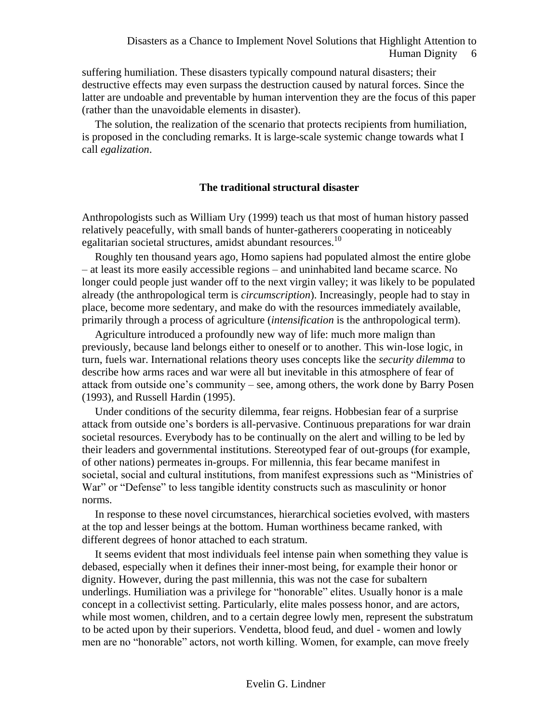suffering humiliation. These disasters typically compound natural disasters; their destructive effects may even surpass the destruction caused by natural forces. Since the latter are undoable and preventable by human intervention they are the focus of this paper (rather than the unavoidable elements in disaster).

The solution, the realization of the scenario that protects recipients from humiliation, is proposed in the concluding remarks. It is large-scale systemic change towards what I call *egalization*.

#### **The traditional structural disaster**

Anthropologists such as William Ury (1999) teach us that most of human history passed relatively peacefully, with small bands of hunter-gatherers cooperating in noticeably egalitarian societal structures, amidst abundant resources.<sup>10</sup>

Roughly ten thousand years ago, Homo sapiens had populated almost the entire globe – at least its more easily accessible regions – and uninhabited land became scarce. No longer could people just wander off to the next virgin valley; it was likely to be populated already (the anthropological term is *circumscription*). Increasingly, people had to stay in place, become more sedentary, and make do with the resources immediately available, primarily through a process of agriculture (*intensification* is the anthropological term).

Agriculture introduced a profoundly new way of life: much more malign than previously, because land belongs either to oneself or to another. This win-lose logic, in turn, fuels war. International relations theory uses concepts like the *security dilemma* to describe how arms races and war were all but inevitable in this atmosphere of fear of attack from outside one's community – see, among others, the work done by Barry Posen (1993), and Russell Hardin (1995).

Under conditions of the security dilemma, fear reigns. Hobbesian fear of a surprise attack from outside one's borders is all-pervasive. Continuous preparations for war drain societal resources. Everybody has to be continually on the alert and willing to be led by their leaders and governmental institutions. Stereotyped fear of out-groups (for example, of other nations) permeates in-groups. For millennia, this fear became manifest in societal, social and cultural institutions, from manifest expressions such as "Ministries of War" or "Defense" to less tangible identity constructs such as masculinity or honor norms.

In response to these novel circumstances, hierarchical societies evolved, with masters at the top and lesser beings at the bottom. Human worthiness became ranked, with different degrees of honor attached to each stratum.

It seems evident that most individuals feel intense pain when something they value is debased, especially when it defines their inner-most being, for example their honor or dignity. However, during the past millennia, this was not the case for subaltern underlings. Humiliation was a privilege for "honorable" elites. Usually honor is a male concept in a collectivist setting. Particularly, elite males possess honor, and are actors, while most women, children, and to a certain degree lowly men, represent the substratum to be acted upon by their superiors. Vendetta, blood feud, and duel - women and lowly men are no "honorable" actors, not worth killing. Women, for example, can move freely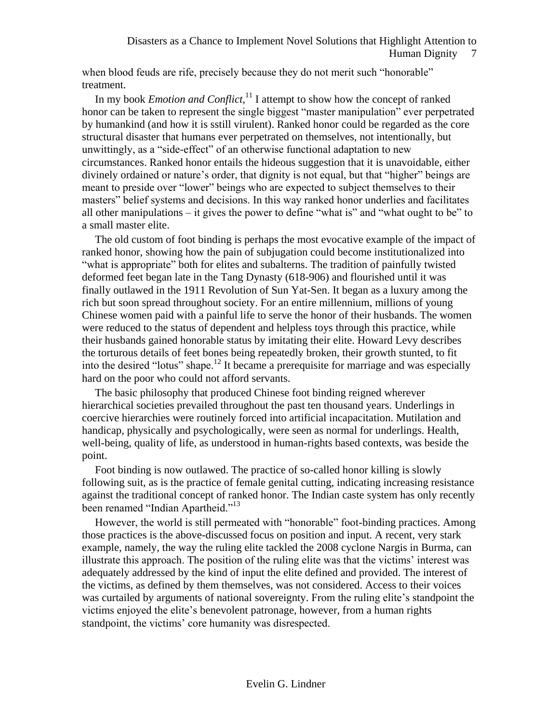when blood feuds are rife, precisely because they do not merit such "honorable" treatment.

In my book *Emotion and Conflict*, <sup>11</sup> I attempt to show how the concept of ranked honor can be taken to represent the single biggest "master manipulation" ever perpetrated by humankind (and how it is sstill virulent). Ranked honor could be regarded as the core structural disaster that humans ever perpetrated on themselves, not intentionally, but unwittingly, as a "side-effect" of an otherwise functional adaptation to new circumstances. Ranked honor entails the hideous suggestion that it is unavoidable, either divinely ordained or nature's order, that dignity is not equal, but that "higher" beings are meant to preside over "lower" beings who are expected to subject themselves to their masters" belief systems and decisions. In this way ranked honor underlies and facilitates all other manipulations – it gives the power to define "what is" and "what ought to be" to a small master elite.

The old custom of foot binding is perhaps the most evocative example of the impact of ranked honor, showing how the pain of subjugation could become institutionalized into "what is appropriate" both for elites and subalterns. The tradition of painfully twisted deformed feet began late in the Tang Dynasty (618-906) and flourished until it was finally outlawed in the 1911 Revolution of Sun Yat-Sen. It began as a luxury among the rich but soon spread throughout society. For an entire millennium, millions of young Chinese women paid with a painful life to serve the honor of their husbands. The women were reduced to the status of dependent and helpless toys through this practice, while their husbands gained honorable status by imitating their elite. Howard Levy describes the torturous details of feet bones being repeatedly broken, their growth stunted, to fit into the desired "lotus" shape.<sup>12</sup> It became a prerequisite for marriage and was especially hard on the poor who could not afford servants.

The basic philosophy that produced Chinese foot binding reigned wherever hierarchical societies prevailed throughout the past ten thousand years. Underlings in coercive hierarchies were routinely forced into artificial incapacitation. Mutilation and handicap, physically and psychologically, were seen as normal for underlings. Health, well-being, quality of life, as understood in human-rights based contexts, was beside the point.

Foot binding is now outlawed. The practice of so-called honor killing is slowly following suit, as is the practice of female genital cutting, indicating increasing resistance against the traditional concept of ranked honor. The Indian caste system has only recently been renamed "Indian Apartheid."<sup>13</sup>

However, the world is still permeated with "honorable" foot-binding practices. Among those practices is the above-discussed focus on position and input. A recent, very stark example, namely, the way the ruling elite tackled the 2008 cyclone Nargis in Burma, can illustrate this approach. The position of the ruling elite was that the victims' interest was adequately addressed by the kind of input the elite defined and provided. The interest of the victims, as defined by them themselves, was not considered. Access to their voices was curtailed by arguments of national sovereignty. From the ruling elite's standpoint the victims enjoyed the elite's benevolent patronage, however, from a human rights standpoint, the victims' core humanity was disrespected.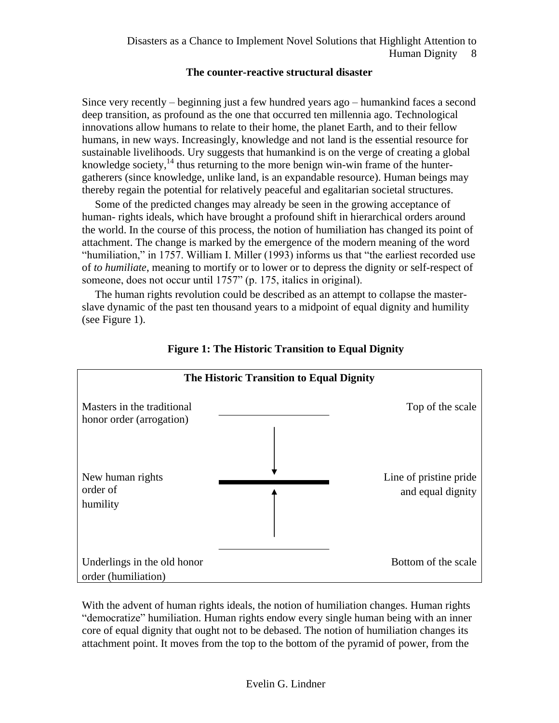# **The counter-reactive structural disaster**

Since very recently – beginning just a few hundred years ago – humankind faces a second deep transition, as profound as the one that occurred ten millennia ago. Technological innovations allow humans to relate to their home, the planet Earth, and to their fellow humans, in new ways. Increasingly, knowledge and not land is the essential resource for sustainable livelihoods. Ury suggests that humankind is on the verge of creating a global knowledge society, $14$  thus returning to the more benign win-win frame of the huntergatherers (since knowledge, unlike land, is an expandable resource). Human beings may thereby regain the potential for relatively peaceful and egalitarian societal structures.

Some of the predicted changes may already be seen in the growing acceptance of human- rights ideals, which have brought a profound shift in hierarchical orders around the world. In the course of this process, the notion of humiliation has changed its point of attachment. The change is marked by the emergence of the modern meaning of the word "humiliation," in 1757. William I. Miller (1993) informs us that "the earliest recorded use of *to humiliate*, meaning to mortify or to lower or to depress the dignity or self-respect of someone, does not occur until 1757" (p. 175, italics in original).

The human rights revolution could be described as an attempt to collapse the masterslave dynamic of the past ten thousand years to a midpoint of equal dignity and humility (see Figure 1).



**Figure 1: The Historic Transition to Equal Dignity**

With the advent of human rights ideals, the notion of humiliation changes. Human rights "democratize" humiliation. Human rights endow every single human being with an inner core of equal dignity that ought not to be debased. The notion of humiliation changes its attachment point. It moves from the top to the bottom of the pyramid of power, from the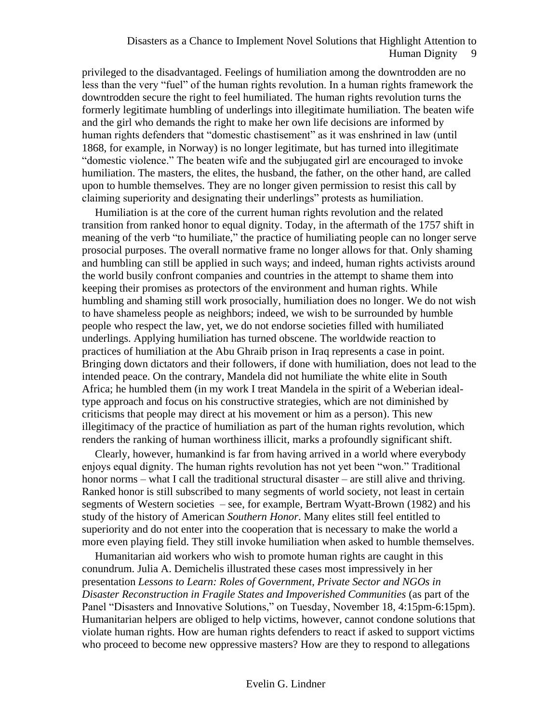privileged to the disadvantaged. Feelings of humiliation among the downtrodden are no less than the very "fuel" of the human rights revolution. In a human rights framework the downtrodden secure the right to feel humiliated. The human rights revolution turns the formerly legitimate humbling of underlings into illegitimate humiliation. The beaten wife and the girl who demands the right to make her own life decisions are informed by human rights defenders that "domestic chastisement" as it was enshrined in law (until 1868, for example, in Norway) is no longer legitimate, but has turned into illegitimate "domestic violence." The beaten wife and the subjugated girl are encouraged to invoke humiliation. The masters, the elites, the husband, the father, on the other hand, are called upon to humble themselves. They are no longer given permission to resist this call by claiming superiority and designating their underlings" protests as humiliation.

Humiliation is at the core of the current human rights revolution and the related transition from ranked honor to equal dignity. Today, in the aftermath of the 1757 shift in meaning of the verb "to humiliate," the practice of humiliating people can no longer serve prosocial purposes. The overall normative frame no longer allows for that. Only shaming and humbling can still be applied in such ways; and indeed, human rights activists around the world busily confront companies and countries in the attempt to shame them into keeping their promises as protectors of the environment and human rights. While humbling and shaming still work prosocially, humiliation does no longer. We do not wish to have shameless people as neighbors; indeed, we wish to be surrounded by humble people who respect the law, yet, we do not endorse societies filled with humiliated underlings. Applying humiliation has turned obscene. The worldwide reaction to practices of humiliation at the Abu Ghraib prison in Iraq represents a case in point. Bringing down dictators and their followers, if done with humiliation, does not lead to the intended peace. On the contrary, Mandela did not humiliate the white elite in South Africa; he humbled them (in my work I treat Mandela in the spirit of a Weberian idealtype approach and focus on his constructive strategies, which are not diminished by criticisms that people may direct at his movement or him as a person). This new illegitimacy of the practice of humiliation as part of the human rights revolution, which renders the ranking of human worthiness illicit, marks a profoundly significant shift.

Clearly, however, humankind is far from having arrived in a world where everybody enjoys equal dignity. The human rights revolution has not yet been "won." Traditional honor norms – what I call the traditional structural disaster – are still alive and thriving. Ranked honor is still subscribed to many segments of world society, not least in certain segments of Western societies – see, for example, Bertram Wyatt-Brown (1982) and his study of the history of American *Southern Honor*. Many elites still feel entitled to superiority and do not enter into the cooperation that is necessary to make the world a more even playing field. They still invoke humiliation when asked to humble themselves.

Humanitarian aid workers who wish to promote human rights are caught in this conundrum. Julia A. Demichelis illustrated these cases most impressively in her presentation *Lessons to Learn: Roles of Government, Private Sector and NGOs in Disaster Reconstruction in Fragile States and Impoverished Communities* (as part of the Panel "Disasters and Innovative Solutions," on Tuesday, November 18, 4:15pm-6:15pm). Humanitarian helpers are obliged to help victims, however, cannot condone solutions that violate human rights. How are human rights defenders to react if asked to support victims who proceed to become new oppressive masters? How are they to respond to allegations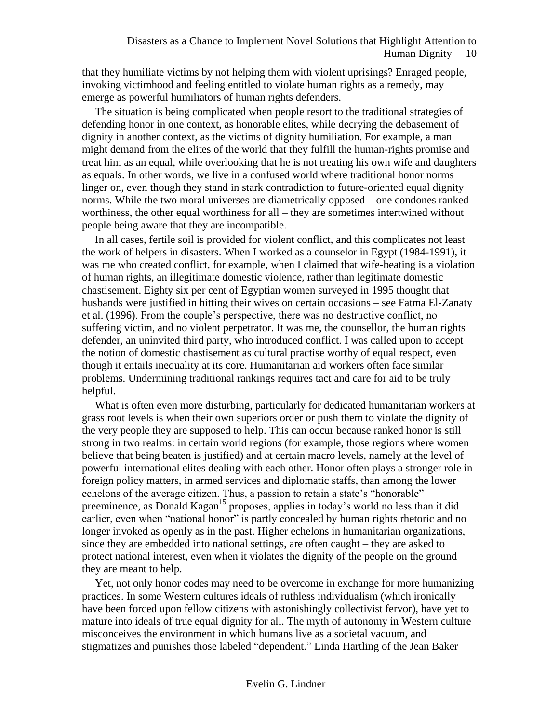that they humiliate victims by not helping them with violent uprisings? Enraged people, invoking victimhood and feeling entitled to violate human rights as a remedy, may emerge as powerful humiliators of human rights defenders.

The situation is being complicated when people resort to the traditional strategies of defending honor in one context, as honorable elites, while decrying the debasement of dignity in another context, as the victims of dignity humiliation. For example, a man might demand from the elites of the world that they fulfill the human-rights promise and treat him as an equal, while overlooking that he is not treating his own wife and daughters as equals. In other words, we live in a confused world where traditional honor norms linger on, even though they stand in stark contradiction to future-oriented equal dignity norms. While the two moral universes are diametrically opposed – one condones ranked worthiness, the other equal worthiness for all – they are sometimes intertwined without people being aware that they are incompatible.

In all cases, fertile soil is provided for violent conflict, and this complicates not least the work of helpers in disasters. When I worked as a counselor in Egypt (1984-1991), it was me who created conflict, for example, when I claimed that wife-beating is a violation of human rights, an illegitimate domestic violence, rather than legitimate domestic chastisement. Eighty six per cent of Egyptian women surveyed in 1995 thought that husbands were justified in hitting their wives on certain occasions – see Fatma El-Zanaty et al. (1996). From the couple's perspective, there was no destructive conflict, no suffering victim, and no violent perpetrator. It was me, the counsellor, the human rights defender, an uninvited third party, who introduced conflict. I was called upon to accept the notion of domestic chastisement as cultural practise worthy of equal respect, even though it entails inequality at its core. Humanitarian aid workers often face similar problems. Undermining traditional rankings requires tact and care for aid to be truly helpful.

What is often even more disturbing, particularly for dedicated humanitarian workers at grass root levels is when their own superiors order or push them to violate the dignity of the very people they are supposed to help. This can occur because ranked honor is still strong in two realms: in certain world regions (for example, those regions where women believe that being beaten is justified) and at certain macro levels, namely at the level of powerful international elites dealing with each other. Honor often plays a stronger role in foreign policy matters, in armed services and diplomatic staffs, than among the lower echelons of the average citizen. Thus, a passion to retain a state's "honorable" preeminence, as Donald Kagan<sup>15</sup> proposes, applies in today's world no less than it did earlier, even when "national honor" is partly concealed by human rights rhetoric and no longer invoked as openly as in the past. Higher echelons in humanitarian organizations, since they are embedded into national settings, are often caught – they are asked to protect national interest, even when it violates the dignity of the people on the ground they are meant to help.

Yet, not only honor codes may need to be overcome in exchange for more humanizing practices. In some Western cultures ideals of ruthless individualism (which ironically have been forced upon fellow citizens with astonishingly collectivist fervor), have yet to mature into ideals of true equal dignity for all. The myth of autonomy in Western culture misconceives the environment in which humans live as a societal vacuum, and stigmatizes and punishes those labeled "dependent." Linda Hartling of the Jean Baker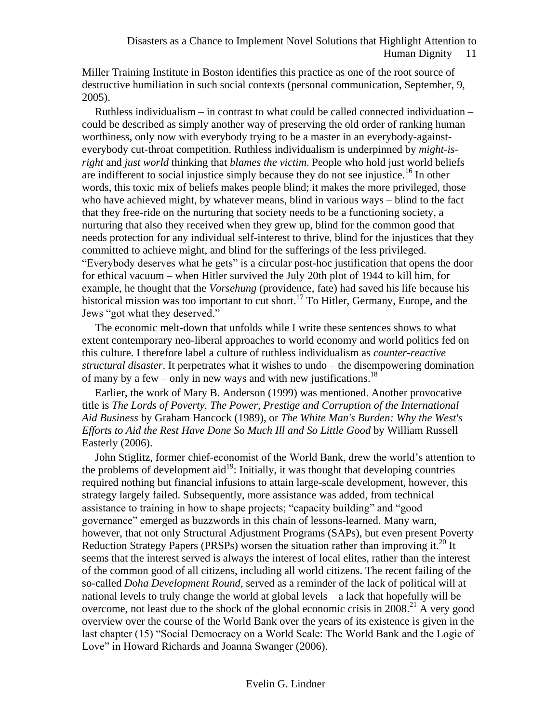Miller Training Institute in Boston identifies this practice as one of the root source of destructive humiliation in such social contexts (personal communication, September, 9, 2005).

Ruthless individualism – in contrast to what could be called connected individuation – could be described as simply another way of preserving the old order of ranking human worthiness, only now with everybody trying to be a master in an everybody-againsteverybody cut-throat competition. Ruthless individualism is underpinned by *might-isright* and *just world* thinking that *blames the victim*. People who hold just world beliefs are indifferent to social injustice simply because they do not see injustice.<sup>16</sup> In other words, this toxic mix of beliefs makes people blind; it makes the more privileged, those who have achieved might, by whatever means, blind in various ways – blind to the fact that they free-ride on the nurturing that society needs to be a functioning society, a nurturing that also they received when they grew up, blind for the common good that needs protection for any individual self-interest to thrive, blind for the injustices that they committed to achieve might, and blind for the sufferings of the less privileged. "Everybody deserves what he gets" is a circular post-hoc justification that opens the door for ethical vacuum – when Hitler survived the July 20th plot of 1944 to kill him, for example, he thought that the *Vorsehung* (providence, fate) had saved his life because his historical mission was too important to cut short.<sup>17</sup> To Hitler, Germany, Europe, and the Jews "got what they deserved."

The economic melt-down that unfolds while I write these sentences shows to what extent contemporary neo-liberal approaches to world economy and world politics fed on this culture. I therefore label a culture of ruthless individualism as *counter-reactive structural disaster*. It perpetrates what it wishes to undo – the disempowering domination of many by a few – only in new ways and with new justifications.<sup>18</sup>

Earlier, the work of Mary B. Anderson (1999) was mentioned. Another provocative title is *The Lords of Poverty. The Power, Prestige and Corruption of the International Aid Business* by Graham Hancock (1989), or *The White Man's Burden: Why the West's Efforts to Aid the Rest Have Done So Much Ill and So Little Good* by William Russell Easterly (2006).

John Stiglitz, former chief-economist of the World Bank, drew the world's attention to the problems of development aid<sup>19</sup>: Initially, it was thought that developing countries required nothing but financial infusions to attain large-scale development, however, this strategy largely failed. Subsequently, more assistance was added, from technical assistance to training in how to shape projects; "capacity building" and "good governance" emerged as buzzwords in this chain of lessons-learned. Many warn, however, that not only Structural Adjustment Programs (SAPs), but even present Poverty Reduction Strategy Papers (PRSPs) worsen the situation rather than improving it.<sup>20</sup> It seems that the interest served is always the interest of local elites, rather than the interest of the common good of all citizens, including all world citizens. The recent failing of the so-called *Doha Development Round,* served as a reminder of the lack of political will at national levels to truly change the world at global levels – a lack that hopefully will be overcome, not least due to the shock of the global economic crisis in 2008.<sup>21</sup> A very good overview over the course of the World Bank over the years of its existence is given in the last chapter (15) "Social Democracy on a World Scale: The World Bank and the Logic of Love" in Howard Richards and Joanna Swanger (2006).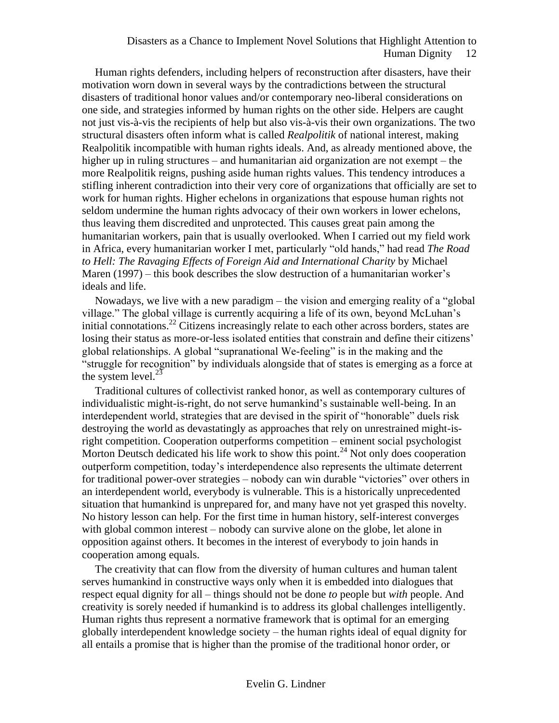Human rights defenders, including helpers of reconstruction after disasters, have their motivation worn down in several ways by the contradictions between the structural disasters of traditional honor values and/or contemporary neo-liberal considerations on one side, and strategies informed by human rights on the other side. Helpers are caught not just vis-à-vis the recipients of help but also vis-à-vis their own organizations. The two structural disasters often inform what is called *Realpolitik* of national interest, making Realpolitik incompatible with human rights ideals. And, as already mentioned above, the higher up in ruling structures – and humanitarian aid organization are not exempt – the more Realpolitik reigns, pushing aside human rights values. This tendency introduces a stifling inherent contradiction into their very core of organizations that officially are set to work for human rights. Higher echelons in organizations that espouse human rights not seldom undermine the human rights advocacy of their own workers in lower echelons, thus leaving them discredited and unprotected. This causes great pain among the humanitarian workers, pain that is usually overlooked. When I carried out my field work in Africa, every humanitarian worker I met, particularly "old hands," had read *The Road to Hell: The Ravaging Effects of Foreign Aid and International Charity* by Michael Maren (1997) – this book describes the slow destruction of a humanitarian worker's ideals and life.

Nowadays, we live with a new paradigm – the vision and emerging reality of a "global village." The global village is currently acquiring a life of its own, beyond McLuhan's initial connotations.<sup>22</sup> Citizens increasingly relate to each other across borders, states are losing their status as more-or-less isolated entities that constrain and define their citizens' global relationships. A global "supranational We-feeling" is in the making and the "struggle for recognition" by individuals alongside that of states is emerging as a force at the system level. $^{23}$ 

Traditional cultures of collectivist ranked honor, as well as contemporary cultures of individualistic might-is-right, do not serve humankind's sustainable well-being. In an interdependent world, strategies that are devised in the spirit of "honorable" duels risk destroying the world as devastatingly as approaches that rely on unrestrained might-isright competition. Cooperation outperforms competition – eminent social psychologist Morton Deutsch dedicated his life work to show this point.<sup>24</sup> Not only does cooperation outperform competition, today's interdependence also represents the ultimate deterrent for traditional power-over strategies – nobody can win durable "victories" over others in an interdependent world, everybody is vulnerable. This is a historically unprecedented situation that humankind is unprepared for, and many have not yet grasped this novelty. No history lesson can help. For the first time in human history, self-interest converges with global common interest – nobody can survive alone on the globe, let alone in opposition against others. It becomes in the interest of everybody to join hands in cooperation among equals.

The creativity that can flow from the diversity of human cultures and human talent serves humankind in constructive ways only when it is embedded into dialogues that respect equal dignity for all – things should not be done *to* people but *with* people. And creativity is sorely needed if humankind is to address its global challenges intelligently. Human rights thus represent a normative framework that is optimal for an emerging globally interdependent knowledge society – the human rights ideal of equal dignity for all entails a promise that is higher than the promise of the traditional honor order, or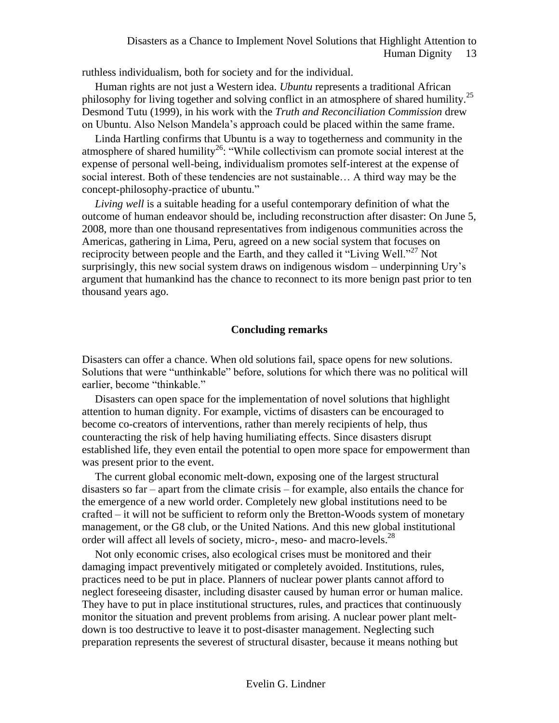ruthless individualism, both for society and for the individual.

Human rights are not just a Western idea. *Ubuntu* represents a traditional African philosophy for living together and solving conflict in an atmosphere of shared humility.<sup>25</sup> Desmond Tutu (1999), in his work with the *Truth and Reconciliation Commission* drew on Ubuntu. Also Nelson Mandela's approach could be placed within the same frame.

Linda Hartling confirms that Ubuntu is a way to togetherness and community in the atmosphere of shared humility<sup>26</sup>: "While collectivism can promote social interest at the expense of personal well-being, individualism promotes self-interest at the expense of social interest. Both of these tendencies are not sustainable… A third way may be the concept-philosophy-practice of ubuntu."

*Living well* is a suitable heading for a useful contemporary definition of what the outcome of human endeavor should be, including reconstruction after disaster: On June 5, 2008, more than one thousand representatives from indigenous communities across the Americas, gathering in Lima, Peru, agreed on a new social system that focuses on reciprocity between people and the Earth, and they called it "Living Well."<sup>27</sup> Not surprisingly, this new social system draws on indigenous wisdom – underpinning Ury's argument that humankind has the chance to reconnect to its more benign past prior to ten thousand years ago.

#### **Concluding remarks**

Disasters can offer a chance. When old solutions fail, space opens for new solutions. Solutions that were "unthinkable" before, solutions for which there was no political will earlier, become "thinkable."

Disasters can open space for the implementation of novel solutions that highlight attention to human dignity. For example, victims of disasters can be encouraged to become co-creators of interventions, rather than merely recipients of help, thus counteracting the risk of help having humiliating effects. Since disasters disrupt established life, they even entail the potential to open more space for empowerment than was present prior to the event.

The current global economic melt-down, exposing one of the largest structural disasters so far – apart from the climate crisis – for example, also entails the chance for the emergence of a new world order. Completely new global institutions need to be crafted – it will not be sufficient to reform only the Bretton-Woods system of monetary management, or the G8 club, or the United Nations. And this new global institutional order will affect all levels of society, micro-, meso- and macro-levels.<sup>28</sup>

Not only economic crises, also ecological crises must be monitored and their damaging impact preventively mitigated or completely avoided. Institutions, rules, practices need to be put in place. Planners of nuclear power plants cannot afford to neglect foreseeing disaster, including disaster caused by human error or human malice. They have to put in place institutional structures, rules, and practices that continuously monitor the situation and prevent problems from arising. A nuclear power plant meltdown is too destructive to leave it to post-disaster management. Neglecting such preparation represents the severest of structural disaster, because it means nothing but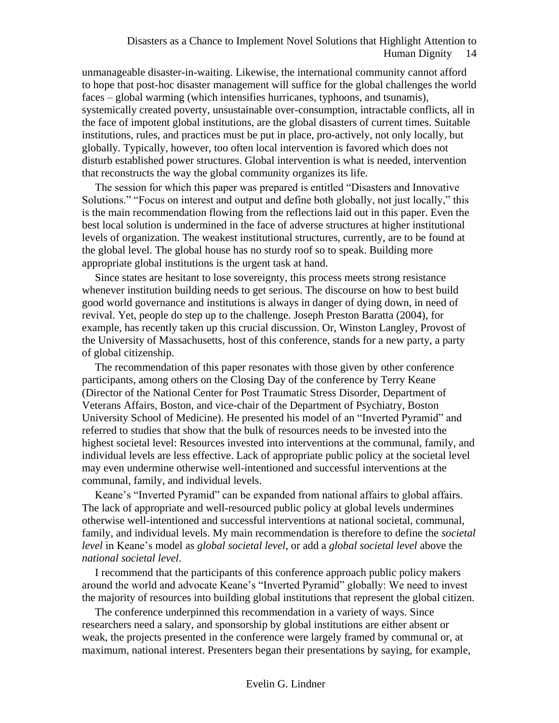unmanageable disaster-in-waiting. Likewise, the international community cannot afford to hope that post-hoc disaster management will suffice for the global challenges the world faces – global warming (which intensifies hurricanes, typhoons, and tsunamis), systemically created poverty, unsustainable over-consumption, intractable conflicts, all in the face of impotent global institutions, are the global disasters of current times. Suitable institutions, rules, and practices must be put in place, pro-actively, not only locally, but globally. Typically, however, too often local intervention is favored which does not disturb established power structures. Global intervention is what is needed, intervention that reconstructs the way the global community organizes its life.

The session for which this paper was prepared is entitled "Disasters and Innovative Solutions." "Focus on interest and output and define both globally, not just locally," this is the main recommendation flowing from the reflections laid out in this paper. Even the best local solution is undermined in the face of adverse structures at higher institutional levels of organization. The weakest institutional structures, currently, are to be found at the global level. The global house has no sturdy roof so to speak. Building more appropriate global institutions is the urgent task at hand.

Since states are hesitant to lose sovereignty, this process meets strong resistance whenever institution building needs to get serious. The discourse on how to best build good world governance and institutions is always in danger of dying down, in need of revival. Yet, people do step up to the challenge. Joseph Preston Baratta (2004), for example, has recently taken up this crucial discussion. Or, Winston Langley, Provost of the University of Massachusetts, host of this conference, stands for a new party, a party of global citizenship.

The recommendation of this paper resonates with those given by other conference participants, among others on the Closing Day of the conference by Terry Keane (Director of the National Center for Post Traumatic Stress Disorder, Department of Veterans Affairs, Boston, and vice-chair of the Department of Psychiatry, Boston University School of Medicine). He presented his model of an "Inverted Pyramid" and referred to studies that show that the bulk of resources needs to be invested into the highest societal level: Resources invested into interventions at the communal, family, and individual levels are less effective. Lack of appropriate public policy at the societal level may even undermine otherwise well-intentioned and successful interventions at the communal, family, and individual levels.

Keane's "Inverted Pyramid" can be expanded from national affairs to global affairs. The lack of appropriate and well-resourced public policy at global levels undermines otherwise well-intentioned and successful interventions at national societal, communal, family, and individual levels. My main recommendation is therefore to define the *societal level* in Keane's model as *global societal level*, or add a *global societal level* above the *national societal level*.

I recommend that the participants of this conference approach public policy makers around the world and advocate Keane's "Inverted Pyramid" globally: We need to invest the majority of resources into building global institutions that represent the global citizen.

The conference underpinned this recommendation in a variety of ways. Since researchers need a salary, and sponsorship by global institutions are either absent or weak, the projects presented in the conference were largely framed by communal or, at maximum, national interest. Presenters began their presentations by saying, for example,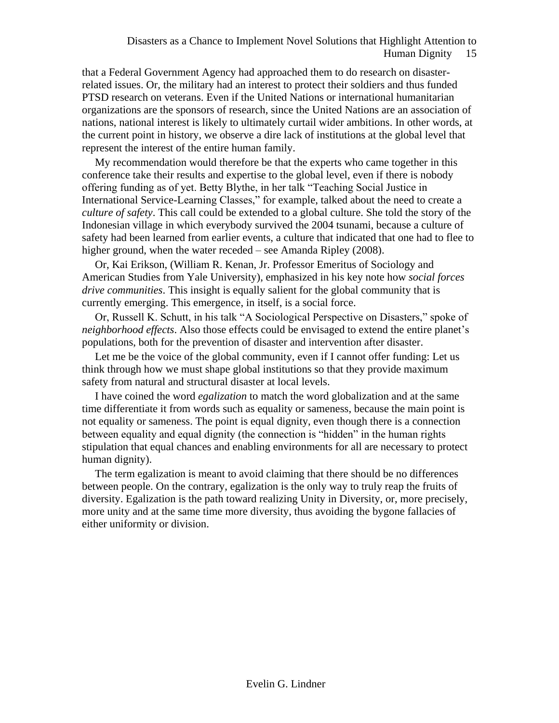that a Federal Government Agency had approached them to do research on disasterrelated issues. Or, the military had an interest to protect their soldiers and thus funded PTSD research on veterans. Even if the United Nations or international humanitarian organizations are the sponsors of research, since the United Nations are an association of nations, national interest is likely to ultimately curtail wider ambitions. In other words, at the current point in history, we observe a dire lack of institutions at the global level that represent the interest of the entire human family.

My recommendation would therefore be that the experts who came together in this conference take their results and expertise to the global level, even if there is nobody offering funding as of yet. Betty Blythe, in her talk "Teaching Social Justice in International Service-Learning Classes," for example, talked about the need to create a *culture of safety*. This call could be extended to a global culture. She told the story of the Indonesian village in which everybody survived the 2004 tsunami, because a culture of safety had been learned from earlier events, a culture that indicated that one had to flee to higher ground, when the water receded – see Amanda Ripley (2008).

Or, Kai Erikson, (William R. Kenan, Jr. Professor Emeritus of Sociology and American Studies from Yale University), emphasized in his key note how *social forces drive communities*. This insight is equally salient for the global community that is currently emerging. This emergence, in itself, is a social force.

Or, Russell K. Schutt, in his talk "A Sociological Perspective on Disasters," spoke of *neighborhood effects*. Also those effects could be envisaged to extend the entire planet's populations, both for the prevention of disaster and intervention after disaster.

Let me be the voice of the global community, even if I cannot offer funding: Let us think through how we must shape global institutions so that they provide maximum safety from natural and structural disaster at local levels.

I have coined the word *egalization* to match the word globalization and at the same time differentiate it from words such as equality or sameness, because the main point is not equality or sameness. The point is equal dignity, even though there is a connection between equality and equal dignity (the connection is "hidden" in the human rights stipulation that equal chances and enabling environments for all are necessary to protect human dignity).

The term egalization is meant to avoid claiming that there should be no differences between people. On the contrary, egalization is the only way to truly reap the fruits of diversity. Egalization is the path toward realizing Unity in Diversity, or, more precisely, more unity and at the same time more diversity, thus avoiding the bygone fallacies of either uniformity or division.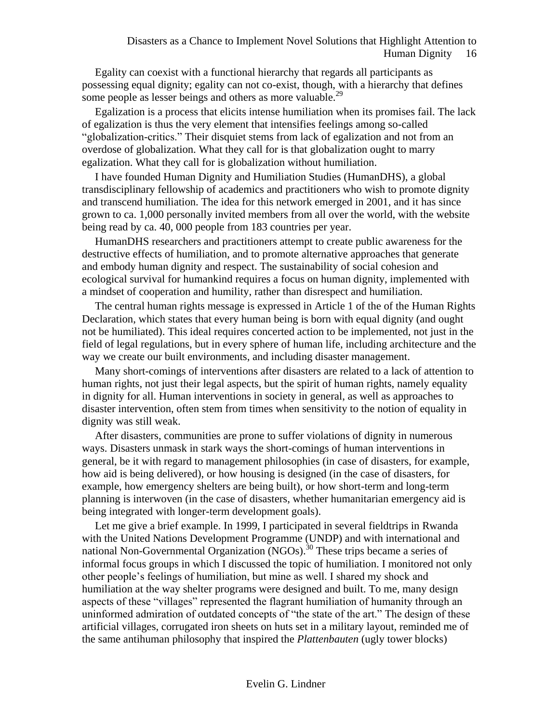Egality can coexist with a functional hierarchy that regards all participants as possessing equal dignity; egality can not co-exist, though, with a hierarchy that defines some people as lesser beings and others as more valuable.<sup>29</sup>

Egalization is a process that elicits intense humiliation when its promises fail. The lack of egalization is thus the very element that intensifies feelings among so-called "globalization-critics." Their disquiet stems from lack of egalization and not from an overdose of globalization. What they call for is that globalization ought to marry egalization. What they call for is globalization without humiliation.

I have founded Human Dignity and Humiliation Studies (HumanDHS), a global transdisciplinary fellowship of academics and practitioners who wish to promote dignity and transcend humiliation. The idea for this network emerged in 2001, and it has since grown to ca. 1,000 personally invited members from all over the world, with the website being read by ca. 40, 000 people from 183 countries per year.

HumanDHS researchers and practitioners attempt to create public awareness for the destructive effects of humiliation, and to promote alternative approaches that generate and embody human dignity and respect. The sustainability of social cohesion and ecological survival for humankind requires a focus on human dignity, implemented with a mindset of cooperation and humility, rather than disrespect and humiliation.

The central human rights message is expressed in Article 1 of the of the Human Rights Declaration, which states that every human being is born with equal dignity (and ought not be humiliated). This ideal requires concerted action to be implemented, not just in the field of legal regulations, but in every sphere of human life, including architecture and the way we create our built environments, and including disaster management.

Many short-comings of interventions after disasters are related to a lack of attention to human rights, not just their legal aspects, but the spirit of human rights, namely equality in dignity for all. Human interventions in society in general, as well as approaches to disaster intervention, often stem from times when sensitivity to the notion of equality in dignity was still weak.

After disasters, communities are prone to suffer violations of dignity in numerous ways. Disasters unmask in stark ways the short-comings of human interventions in general, be it with regard to management philosophies (in case of disasters, for example, how aid is being delivered), or how housing is designed (in the case of disasters, for example, how emergency shelters are being built), or how short-term and long-term planning is interwoven (in the case of disasters, whether humanitarian emergency aid is being integrated with longer-term development goals).

Let me give a brief example. In 1999, I participated in several fieldtrips in Rwanda with the United Nations Development Programme (UNDP) and with international and national Non-Governmental Organization  $(NGOs)$ <sup>30</sup> These trips became a series of informal focus groups in which I discussed the topic of humiliation. I monitored not only other people's feelings of humiliation, but mine as well. I shared my shock and humiliation at the way shelter programs were designed and built. To me, many design aspects of these "villages" represented the flagrant humiliation of humanity through an uninformed admiration of outdated concepts of "the state of the art." The design of these artificial villages, corrugated iron sheets on huts set in a military layout, reminded me of the same antihuman philosophy that inspired the *Plattenbauten* (ugly tower blocks)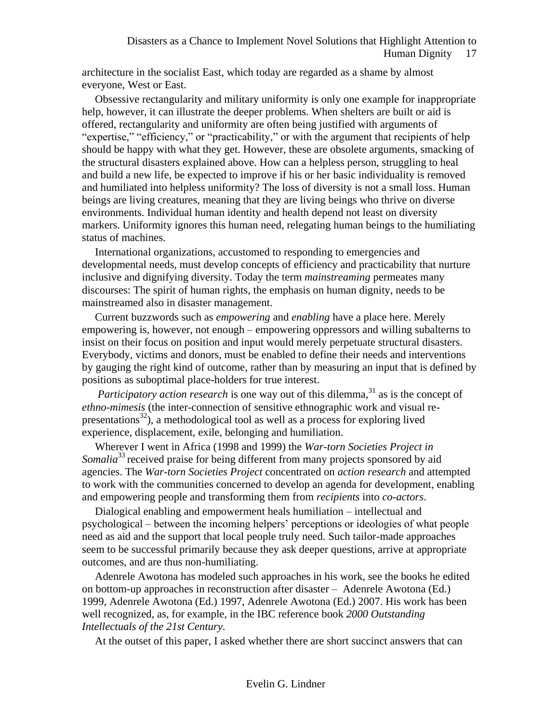architecture in the socialist East, which today are regarded as a shame by almost everyone, West or East.

Obsessive rectangularity and military uniformity is only one example for inappropriate help, however, it can illustrate the deeper problems. When shelters are built or aid is offered, rectangularity and uniformity are often being justified with arguments of "expertise," "efficiency," or "practicability," or with the argument that recipients of help should be happy with what they get. However, these are obsolete arguments, smacking of the structural disasters explained above. How can a helpless person, struggling to heal and build a new life, be expected to improve if his or her basic individuality is removed and humiliated into helpless uniformity? The loss of diversity is not a small loss. Human beings are living creatures, meaning that they are living beings who thrive on diverse environments. Individual human identity and health depend not least on diversity markers. Uniformity ignores this human need, relegating human beings to the humiliating status of machines.

International organizations, accustomed to responding to emergencies and developmental needs, must develop concepts of efficiency and practicability that nurture inclusive and dignifying diversity. Today the term *mainstreaming* permeates many discourses: The spirit of human rights, the emphasis on human dignity, needs to be mainstreamed also in disaster management.

Current buzzwords such as *empowering* and *enabling* have a place here. Merely empowering is, however, not enough – empowering oppressors and willing subalterns to insist on their focus on position and input would merely perpetuate structural disasters. Everybody, victims and donors, must be enabled to define their needs and interventions by gauging the right kind of outcome, rather than by measuring an input that is defined by positions as suboptimal place-holders for true interest.

*Participatory action research* is one way out of this dilemma,<sup>31</sup> as is the concept of *ethno-mimesis* (the inter-connection of sensitive ethnographic work and visual representations<sup>32</sup>), a methodological tool as well as a process for exploring lived experience, displacement, exile, belonging and humiliation.

Wherever I went in Africa (1998 and 1999) the *War-torn Societies Project in Somalia*<sup>33</sup> received praise for being different from many projects sponsored by aid agencies. The *War-torn Societies Project* concentrated on *action research* and attempted to work with the communities concerned to develop an agenda for development, enabling and empowering people and transforming them from *recipients* into *co-actors*.

Dialogical enabling and empowerment heals humiliation – intellectual and psychological – between the incoming helpers' perceptions or ideologies of what people need as aid and the support that local people truly need. Such tailor-made approaches seem to be successful primarily because they ask deeper questions, arrive at appropriate outcomes, and are thus non-humiliating.

Adenrele Awotona has modeled such approaches in his work, see the books he edited on bottom-up approaches in reconstruction after disaster – Adenrele Awotona (Ed.) 1999, Adenrele Awotona (Ed.) 1997, Adenrele Awotona (Ed.) 2007. His work has been well recognized, as, for example, in the IBC reference book *2000 Outstanding Intellectuals of the 21st Century*.

At the outset of this paper, I asked whether there are short succinct answers that can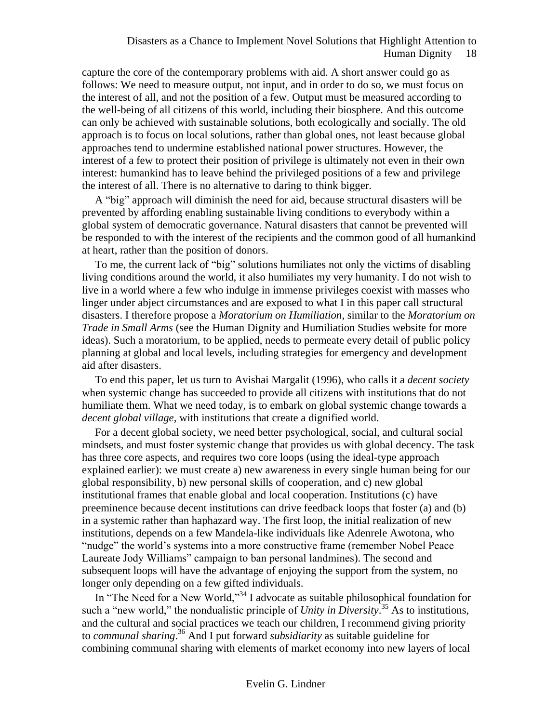capture the core of the contemporary problems with aid. A short answer could go as follows: We need to measure output, not input, and in order to do so, we must focus on the interest of all, and not the position of a few. Output must be measured according to the well-being of all citizens of this world, including their biosphere. And this outcome can only be achieved with sustainable solutions, both ecologically and socially. The old approach is to focus on local solutions, rather than global ones, not least because global approaches tend to undermine established national power structures. However, the interest of a few to protect their position of privilege is ultimately not even in their own interest: humankind has to leave behind the privileged positions of a few and privilege the interest of all. There is no alternative to daring to think bigger.

A "big" approach will diminish the need for aid, because structural disasters will be prevented by affording enabling sustainable living conditions to everybody within a global system of democratic governance. Natural disasters that cannot be prevented will be responded to with the interest of the recipients and the common good of all humankind at heart, rather than the position of donors.

To me, the current lack of "big" solutions humiliates not only the victims of disabling living conditions around the world, it also humiliates my very humanity. I do not wish to live in a world where a few who indulge in immense privileges coexist with masses who linger under abject circumstances and are exposed to what I in this paper call structural disasters. I therefore propose a *Moratorium on Humiliation*, similar to the *Moratorium on Trade in Small Arms* (see the Human Dignity and Humiliation Studies website for more ideas). Such a moratorium, to be applied, needs to permeate every detail of public policy planning at global and local levels, including strategies for emergency and development aid after disasters.

To end this paper, let us turn to Avishai Margalit (1996), who calls it a *decent society* when systemic change has succeeded to provide all citizens with institutions that do not humiliate them. What we need today, is to embark on global systemic change towards a *decent global village*, with institutions that create a dignified world.

For a decent global society, we need better psychological, social, and cultural social mindsets, and must foster systemic change that provides us with global decency. The task has three core aspects, and requires two core loops (using the ideal-type approach explained earlier): we must create a) new awareness in every single human being for our global responsibility, b) new personal skills of cooperation, and c) new global institutional frames that enable global and local cooperation. Institutions (c) have preeminence because decent institutions can drive feedback loops that foster (a) and (b) in a systemic rather than haphazard way. The first loop, the initial realization of new institutions, depends on a few Mandela-like individuals like Adenrele Awotona, who "nudge" the world's systems into a more constructive frame (remember Nobel Peace Laureate Jody Williams" campaign to ban personal landmines). The second and subsequent loops will have the advantage of enjoying the support from the system, no longer only depending on a few gifted individuals.

In "The Need for a New World,"<sup>34</sup> I advocate as suitable philosophical foundation for such a "new world," the nondualistic principle of *Unity in Diversity*.<sup>35</sup> As to institutions, and the cultural and social practices we teach our children, I recommend giving priority to *communal sharing*. <sup>36</sup> And I put forward *subsidiarity* as suitable guideline for combining communal sharing with elements of market economy into new layers of local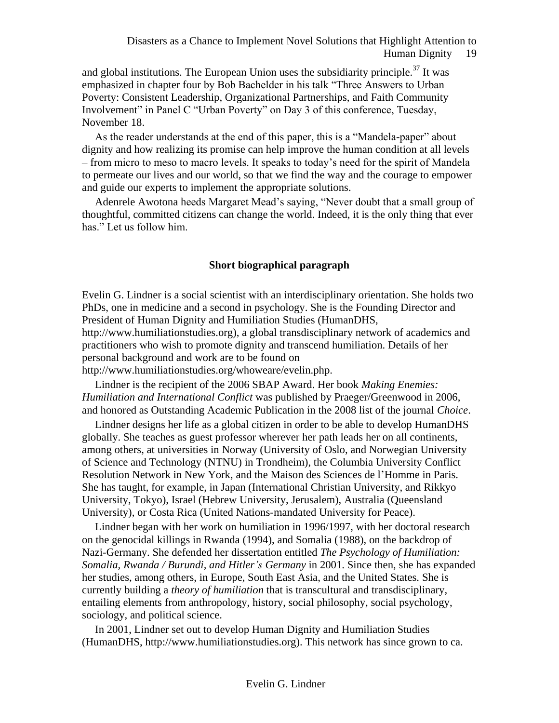and global institutions. The European Union uses the subsidiarity principle.<sup>37</sup> It was emphasized in chapter four by Bob Bachelder in his talk "Three Answers to Urban Poverty: Consistent Leadership, Organizational Partnerships, and Faith Community Involvement" in Panel C "Urban Poverty" on Day 3 of this conference, Tuesday, November 18.

As the reader understands at the end of this paper, this is a "Mandela-paper" about dignity and how realizing its promise can help improve the human condition at all levels – from micro to meso to macro levels. It speaks to today's need for the spirit of Mandela to permeate our lives and our world, so that we find the way and the courage to empower and guide our experts to implement the appropriate solutions.

Adenrele Awotona heeds Margaret Mead's saying, "Never doubt that a small group of thoughtful, committed citizens can change the world. Indeed, it is the only thing that ever has." Let us follow him.

### **Short biographical paragraph**

Evelin G. Lindner is a social scientist with an interdisciplinary orientation. She holds two PhDs, one in medicine and a second in psychology. She is the Founding Director and President of Human Dignity and Humiliation Studies (HumanDHS,

http://www.humiliationstudies.org), a global transdisciplinary network of academics and practitioners who wish to promote dignity and transcend humiliation. Details of her personal background and work are to be found on

http://www.humiliationstudies.org/whoweare/evelin.php.

Lindner is the recipient of the 2006 SBAP Award. Her book *Making Enemies: Humiliation and International Conflict* was published by Praeger/Greenwood in 2006, and honored as Outstanding Academic Publication in the 2008 list of the journal *Choice*.

Lindner designs her life as a global citizen in order to be able to develop HumanDHS globally. She teaches as guest professor wherever her path leads her on all continents, among others, at universities in Norway (University of Oslo, and Norwegian University of Science and Technology (NTNU) in Trondheim), the Columbia University Conflict Resolution Network in New York, and the Maison des Sciences de l'Homme in Paris. She has taught, for example, in Japan (International Christian University, and Rikkyo University, Tokyo), Israel (Hebrew University, Jerusalem), Australia (Queensland University), or Costa Rica (United Nations-mandated University for Peace).

Lindner began with her work on humiliation in 1996/1997, with her doctoral research on the genocidal killings in Rwanda (1994), and Somalia (1988), on the backdrop of Nazi-Germany. She defended her dissertation entitled *The Psychology of Humiliation: Somalia, Rwanda / Burundi, and Hitler's Germany* in 2001. Since then, she has expanded her studies, among others, in Europe, South East Asia, and the United States. She is currently building a *theory of humiliation* that is transcultural and transdisciplinary, entailing elements from anthropology, history, social philosophy, social psychology, sociology, and political science.

In 2001, Lindner set out to develop Human Dignity and Humiliation Studies (HumanDHS, http://www.humiliationstudies.org). This network has since grown to ca.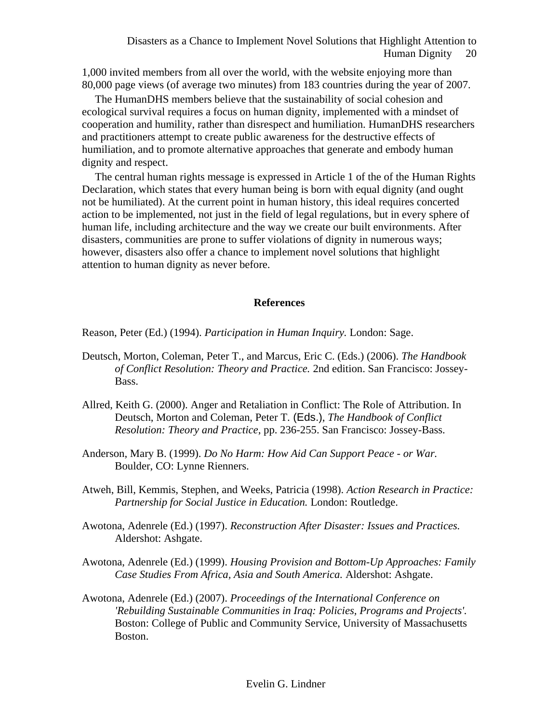1,000 invited members from all over the world, with the website enjoying more than 80,000 page views (of average two minutes) from 183 countries during the year of 2007.

The HumanDHS members believe that the sustainability of social cohesion and ecological survival requires a focus on human dignity, implemented with a mindset of cooperation and humility, rather than disrespect and humiliation. HumanDHS researchers and practitioners attempt to create public awareness for the destructive effects of humiliation, and to promote alternative approaches that generate and embody human dignity and respect.

The central human rights message is expressed in Article 1 of the of the Human Rights Declaration, which states that every human being is born with equal dignity (and ought not be humiliated). At the current point in human history, this ideal requires concerted action to be implemented, not just in the field of legal regulations, but in every sphere of human life, including architecture and the way we create our built environments. After disasters, communities are prone to suffer violations of dignity in numerous ways; however, disasters also offer a chance to implement novel solutions that highlight attention to human dignity as never before.

#### **References**

Reason, Peter (Ed.) (1994). *Participation in Human Inquiry.* London: Sage.

- Deutsch, Morton, Coleman, Peter T., and Marcus, Eric C. (Eds.) (2006). *The Handbook of Conflict Resolution: Theory and Practice.* 2nd edition. San Francisco: Jossey-Bass.
- Allred, Keith G. (2000). Anger and Retaliation in Conflict: The Role of Attribution. In Deutsch, Morton and Coleman, Peter T. (Eds.), *The Handbook of Conflict Resolution: Theory and Practice*, pp. 236-255. San Francisco: Jossey-Bass.
- Anderson, Mary B. (1999). *Do No Harm: How Aid Can Support Peace - or War.*  Boulder, CO: Lynne Rienners.
- Atweh, Bill, Kemmis, Stephen, and Weeks, Patricia (1998). *Action Research in Practice: Partnership for Social Justice in Education.* London: Routledge.
- Awotona, Adenrele (Ed.) (1997). *Reconstruction After Disaster: Issues and Practices.*  Aldershot: Ashgate.
- Awotona, Adenrele (Ed.) (1999). *Housing Provision and Bottom-Up Approaches: Family Case Studies From Africa, Asia and South America.* Aldershot: Ashgate.
- Awotona, Adenrele (Ed.) (2007). *Proceedings of the International Conference on 'Rebuilding Sustainable Communities in Iraq: Policies, Programs and Projects'.*  Boston: College of Public and Community Service, University of Massachusetts Boston.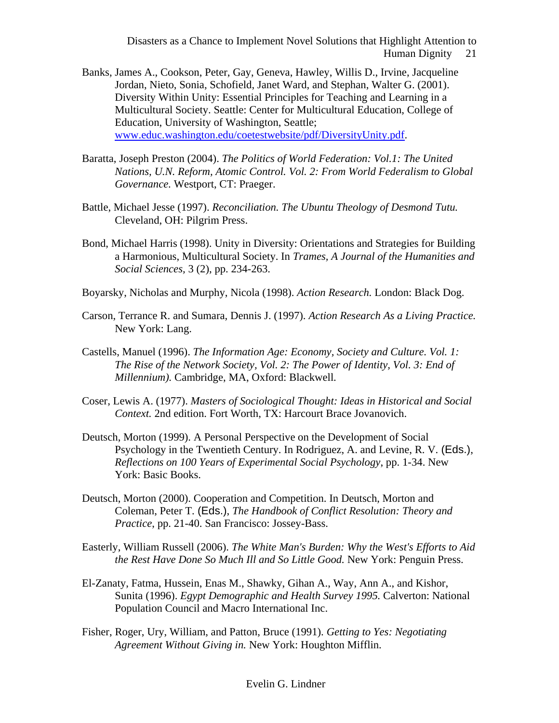- Banks, James A., Cookson, Peter, Gay, Geneva, Hawley, Willis D., Irvine, Jacqueline Jordan, Nieto, Sonia, Schofield, Janet Ward, and Stephan, Walter G. (2001). Diversity Within Unity: Essential Principles for Teaching and Learning in a Multicultural Society. Seattle: Center for Multicultural Education, College of Education, University of Washington, Seattle; [www.educ.washington.edu/coetestwebsite/pdf/DiversityUnity.pdf.](http://www.educ.washington.edu/coetestwebsite/pdf/DiversityUnity.pdf)
- Baratta, Joseph Preston (2004). *The Politics of World Federation: Vol.1: The United Nations, U.N. Reform, Atomic Control. Vol. 2: From World Federalism to Global Governance.* Westport, CT: Praeger.
- Battle, Michael Jesse (1997). *Reconciliation. The Ubuntu Theology of Desmond Tutu.*  Cleveland, OH: Pilgrim Press.
- Bond, Michael Harris (1998). Unity in Diversity: Orientations and Strategies for Building a Harmonious, Multicultural Society. In *Trames, A Journal of the Humanities and Social Sciences,* 3 (2), pp. 234-263.
- Boyarsky, Nicholas and Murphy, Nicola (1998). *Action Research.* London: Black Dog.
- Carson, Terrance R. and Sumara, Dennis J. (1997). *Action Research As a Living Practice.*  New York: Lang.
- Castells, Manuel (1996). *The Information Age: Economy, Society and Culture. Vol. 1: The Rise of the Network Society, Vol. 2: The Power of Identity, Vol. 3: End of Millennium).* Cambridge, MA, Oxford: Blackwell.
- Coser, Lewis A. (1977). *Masters of Sociological Thought: Ideas in Historical and Social Context.* 2nd edition. Fort Worth, TX: Harcourt Brace Jovanovich.
- Deutsch, Morton (1999). A Personal Perspective on the Development of Social Psychology in the Twentieth Century. In Rodriguez, A. and Levine, R. V. (Eds.), *Reflections on 100 Years of Experimental Social Psychology*, pp. 1-34. New York: Basic Books.
- Deutsch, Morton (2000). Cooperation and Competition. In Deutsch, Morton and Coleman, Peter T. (Eds.), *The Handbook of Conflict Resolution: Theory and Practice*, pp. 21-40. San Francisco: Jossey-Bass.
- Easterly, William Russell (2006). *The White Man's Burden: Why the West's Efforts to Aid the Rest Have Done So Much Ill and So Little Good.* New York: Penguin Press.
- El-Zanaty, Fatma, Hussein, Enas M., Shawky, Gihan A., Way, Ann A., and Kishor, Sunita (1996). *Egypt Demographic and Health Survey 1995.* Calverton: National Population Council and Macro International Inc.
- Fisher, Roger, Ury, William, and Patton, Bruce (1991). *Getting to Yes: Negotiating Agreement Without Giving in.* New York: Houghton Mifflin.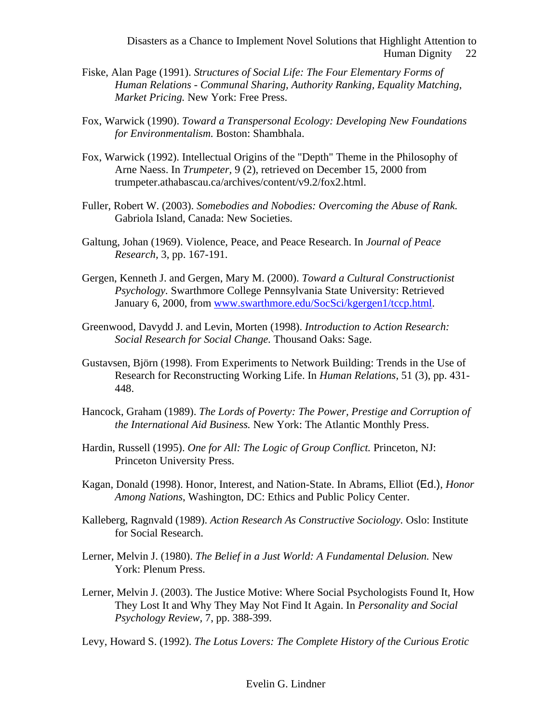- Fiske, Alan Page (1991). *Structures of Social Life: The Four Elementary Forms of Human Relations - Communal Sharing, Authority Ranking, Equality Matching, Market Pricing.* New York: Free Press.
- Fox, Warwick (1990). *Toward a Transpersonal Ecology: Developing New Foundations for Environmentalism.* Boston: Shambhala.
- Fox, Warwick (1992). Intellectual Origins of the "Depth" Theme in the Philosophy of Arne Naess. In *Trumpeter,* 9 (2), retrieved on December 15, 2000 from trumpeter.athabascau.ca/archives/content/v9.2/fox2.html.
- Fuller, Robert W. (2003). *Somebodies and Nobodies: Overcoming the Abuse of Rank.*  Gabriola Island, Canada: New Societies.
- Galtung, Johan (1969). Violence, Peace, and Peace Research. In *Journal of Peace Research,* 3, pp. 167-191.
- Gergen, Kenneth J. and Gergen, Mary M. (2000). *Toward a Cultural Constructionist Psychology.* Swarthmore College Pennsylvania State University: Retrieved January 6, 2000, from [www.swarthmore.edu/SocSci/kgergen1/tccp.html.](http://www.swarthmore.edu/SocSci/kgergen1/tccp.html)
- Greenwood, Davydd J. and Levin, Morten (1998). *Introduction to Action Research: Social Research for Social Change.* Thousand Oaks: Sage.
- Gustavsen, Björn (1998). From Experiments to Network Building: Trends in the Use of Research for Reconstructing Working Life. In *Human Relations,* 51 (3), pp. 431- 448.
- Hancock, Graham (1989). *The Lords of Poverty: The Power, Prestige and Corruption of the International Aid Business.* New York: The Atlantic Monthly Press.
- Hardin, Russell (1995). *One for All: The Logic of Group Conflict.* Princeton, NJ: Princeton University Press.
- Kagan, Donald (1998). Honor, Interest, and Nation-State. In Abrams, Elliot (Ed.), *Honor Among Nations*, Washington, DC: Ethics and Public Policy Center.
- Kalleberg, Ragnvald (1989). *Action Research As Constructive Sociology.* Oslo: Institute for Social Research.
- Lerner, Melvin J. (1980). *The Belief in a Just World: A Fundamental Delusion.* New York: Plenum Press.
- Lerner, Melvin J. (2003). The Justice Motive: Where Social Psychologists Found It, How They Lost It and Why They May Not Find It Again. In *Personality and Social Psychology Review,* 7, pp. 388-399.

Levy, Howard S. (1992). *The Lotus Lovers: The Complete History of the Curious Erotic*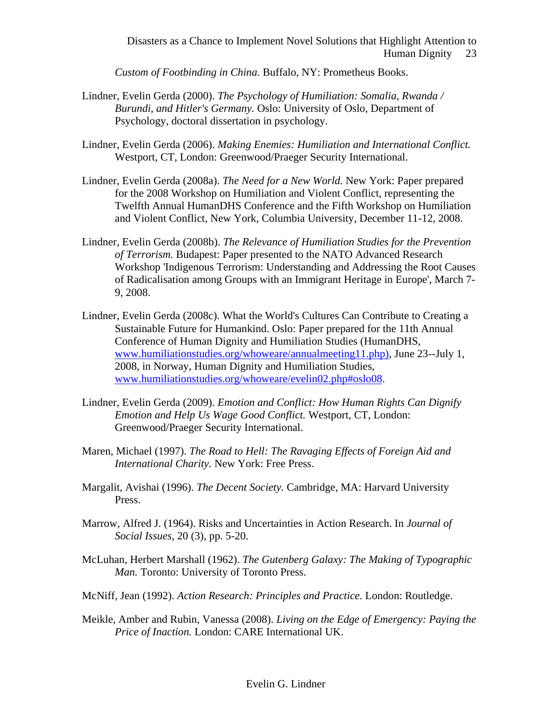*Custom of Footbinding in China.* Buffalo, NY: Prometheus Books.

- Lindner, Evelin Gerda (2000). *The Psychology of Humiliation: Somalia, Rwanda / Burundi, and Hitler's Germany.* Oslo: University of Oslo, Department of Psychology, doctoral dissertation in psychology.
- Lindner, Evelin Gerda (2006). *Making Enemies: Humiliation and International Conflict.*  Westport, CT, London: Greenwood/Praeger Security International.
- Lindner, Evelin Gerda (2008a). *The Need for a New World.* New York: Paper prepared for the 2008 Workshop on Humiliation and Violent Conflict, representing the Twelfth Annual HumanDHS Conference and the Fifth Workshop on Humiliation and Violent Conflict, New York, Columbia University, December 11-12, 2008.
- Lindner, Evelin Gerda (2008b). *The Relevance of Humiliation Studies for the Prevention of Terrorism.* Budapest: Paper presented to the NATO Advanced Research Workshop 'Indigenous Terrorism: Understanding and Addressing the Root Causes of Radicalisation among Groups with an Immigrant Heritage in Europe', March 7- 9, 2008.
- Lindner, Evelin Gerda (2008c). What the World's Cultures Can Contribute to Creating a Sustainable Future for Humankind. Oslo: Paper prepared for the 11th Annual Conference of Human Dignity and Humiliation Studies (HumanDHS, [www.humiliationstudies.org/whoweare/annualmeeting11.php\),](http://www.humiliationstudies.org/whoweare/annualmeeting11.php)) June 23--July 1, 2008, in Norway, Human Dignity and Humiliation Studies, [www.humiliationstudies.org/whoweare/evelin02.php#oslo08.](http://www.humiliationstudies.org/whoweare/evelin02.php#oslo08)
- Lindner, Evelin Gerda (2009). *Emotion and Conflict: How Human Rights Can Dignify Emotion and Help Us Wage Good Conflict.* Westport, CT, London: Greenwood/Praeger Security International.
- Maren, Michael (1997). *The Road to Hell: The Ravaging Effects of Foreign Aid and International Charity.* New York: Free Press.
- Margalit, Avishai (1996). *The Decent Society.* Cambridge, MA: Harvard University Press.
- Marrow, Alfred J. (1964). Risks and Uncertainties in Action Research. In *Journal of Social Issues,* 20 (3), pp. 5-20.
- McLuhan, Herbert Marshall (1962). *The Gutenberg Galaxy: The Making of Typographic Man.* Toronto: University of Toronto Press.
- McNiff, Jean (1992). *Action Research: Principles and Practice.* London: Routledge.
- Meikle, Amber and Rubin, Vanessa (2008). *Living on the Edge of Emergency: Paying the Price of Inaction.* London: CARE International UK.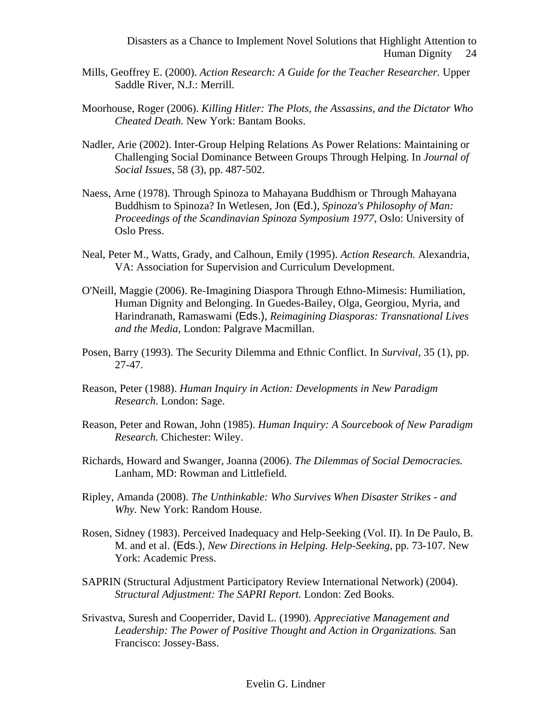- Mills, Geoffrey E. (2000). *Action Research: A Guide for the Teacher Researcher.* Upper Saddle River, N.J.: Merrill.
- Moorhouse, Roger (2006). *Killing Hitler: The Plots, the Assassins, and the Dictator Who Cheated Death.* New York: Bantam Books.
- Nadler, Arie (2002). Inter-Group Helping Relations As Power Relations: Maintaining or Challenging Social Dominance Between Groups Through Helping. In *Journal of Social Issues,* 58 (3), pp. 487-502.
- Naess, Arne (1978). Through Spinoza to Mahayana Buddhism or Through Mahayana Buddhism to Spinoza? In Wetlesen, Jon (Ed.), *Spinoza's Philosophy of Man: Proceedings of the Scandinavian Spinoza Symposium 1977*, Oslo: University of Oslo Press.
- Neal, Peter M., Watts, Grady, and Calhoun, Emily (1995). *Action Research.* Alexandria, VA: Association for Supervision and Curriculum Development.
- O'Neill, Maggie (2006). Re-Imagining Diaspora Through Ethno-Mimesis: Humiliation, Human Dignity and Belonging. In Guedes-Bailey, Olga, Georgiou, Myria, and Harindranath, Ramaswami (Eds.), *Reimagining Diasporas: Transnational Lives and the Media*, London: Palgrave Macmillan.
- Posen, Barry (1993). The Security Dilemma and Ethnic Conflict. In *Survival,* 35 (1), pp. 27-47.
- Reason, Peter (1988). *Human Inquiry in Action: Developments in New Paradigm Research.* London: Sage.
- Reason, Peter and Rowan, John (1985). *Human Inquiry: A Sourcebook of New Paradigm Research.* Chichester: Wiley.
- Richards, Howard and Swanger, Joanna (2006). *The Dilemmas of Social Democracies.*  Lanham, MD: Rowman and Littlefield.
- Ripley, Amanda (2008). *The Unthinkable: Who Survives When Disaster Strikes - and Why.* New York: Random House.
- Rosen, Sidney (1983). Perceived Inadequacy and Help-Seeking (Vol. II). In De Paulo, B. M. and et al. (Eds.), *New Directions in Helping. Help-Seeking*, pp. 73-107. New York: Academic Press.
- SAPRIN (Structural Adjustment Participatory Review International Network) (2004). *Structural Adjustment: The SAPRI Report.* London: Zed Books.
- Srivastva, Suresh and Cooperrider, David L. (1990). *Appreciative Management and*  Leadership: The Power of Positive Thought and Action in Organizations. San Francisco: Jossey-Bass.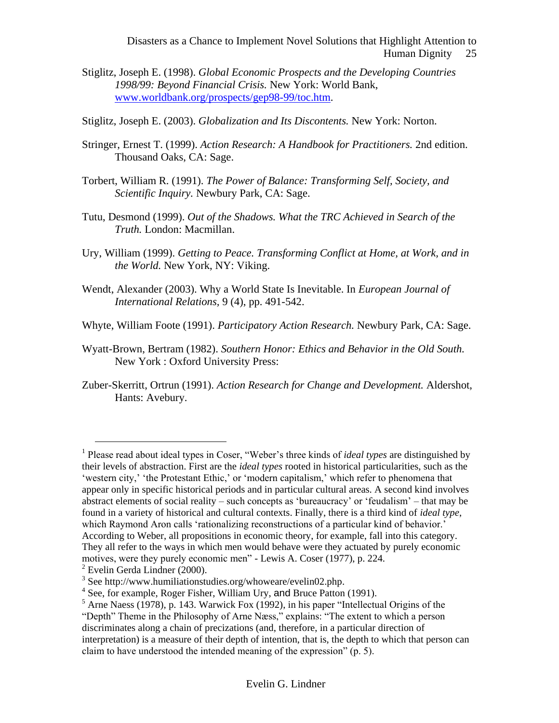- Stiglitz, Joseph E. (1998). *Global Economic Prospects and the Developing Countries 1998/99: Beyond Financial Crisis.* New York: World Bank, [www.worldbank.org/prospects/gep98-99/toc.htm.](http://www.worldbank.org/prospects/gep98-99/toc.htm)
- Stiglitz, Joseph E. (2003). *Globalization and Its Discontents.* New York: Norton.
- Stringer, Ernest T. (1999). *Action Research: A Handbook for Practitioners.* 2nd edition. Thousand Oaks, CA: Sage.
- Torbert, William R. (1991). *The Power of Balance: Transforming Self, Society, and Scientific Inquiry.* Newbury Park, CA: Sage.
- Tutu, Desmond (1999). *Out of the Shadows. What the TRC Achieved in Search of the Truth.* London: Macmillan.
- Ury, William (1999). *Getting to Peace. Transforming Conflict at Home, at Work, and in the World.* New York, NY: Viking.
- Wendt, Alexander (2003). Why a World State Is Inevitable. In *European Journal of International Relations,* 9 (4), pp. 491-542.
- Whyte, William Foote (1991). *Participatory Action Research.* Newbury Park, CA: Sage.
- Wyatt-Brown, Bertram (1982). *Southern Honor: Ethics and Behavior in the Old South.*  New York : Oxford University Press:
- Zuber-Skerritt, Ortrun (1991). *Action Research for Change and Development.* Aldershot, Hants: Avebury.

1

<sup>&</sup>lt;sup>1</sup> Please read about ideal types in Coser, "Weber's three kinds of *ideal types* are distinguished by their levels of abstraction. First are the *ideal types* rooted in historical particularities, such as the 'western city,' 'the Protestant Ethic,' or 'modern capitalism,' which refer to phenomena that appear only in specific historical periods and in particular cultural areas. A second kind involves abstract elements of social reality – such concepts as 'bureaucracy' or 'feudalism' – that may be found in a variety of historical and cultural contexts. Finally, there is a third kind of *ideal type*, which Raymond Aron calls 'rationalizing reconstructions of a particular kind of behavior.' According to Weber, all propositions in economic theory, for example, fall into this category. They all refer to the ways in which men would behave were they actuated by purely economic motives, were they purely economic men" - Lewis A. Coser (1977), p. 224.

 $2$  Evelin Gerda Lindner (2000).

<sup>&</sup>lt;sup>3</sup> Se[e http://www.humiliationstudies.org/whoweare/evelin02.php.](http://www.humiliationstudies.org/whoweare/evelin02.php)

<sup>&</sup>lt;sup>4</sup> See, for example, Roger Fisher, William Ury, and Bruce Patton (1991).

 $<sup>5</sup>$  Arne Naess (1978), p. 143. Warwick Fox (1992), in his paper "Intellectual Origins of the</sup>

<sup>&</sup>quot;Depth" Theme in the Philosophy of Arne Næss," explains: "The extent to which a person discriminates along a chain of precizations (and, therefore, in a particular direction of interpretation) is a measure of their depth of intention, that is, the depth to which that person can claim to have understood the intended meaning of the expression" (p. 5).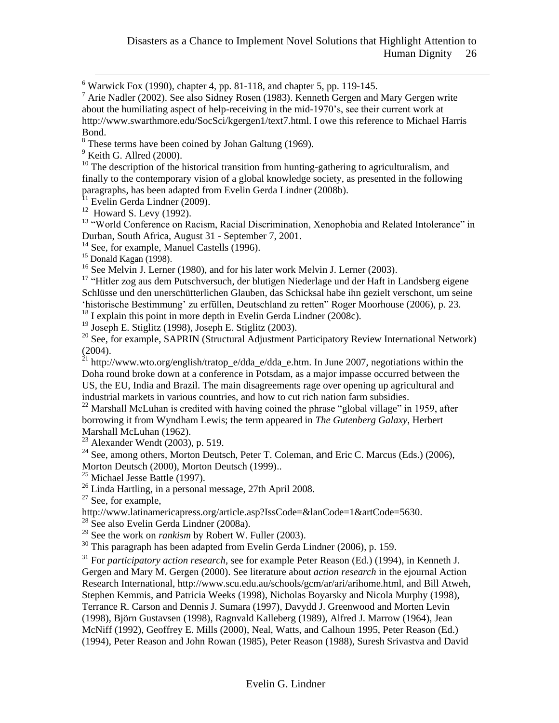$6$  Warwick Fox (1990), chapter 4, pp. 81-118, and chapter 5, pp. 119-145.

 $^7$  Arie Nadler (2002). See also Sidney Rosen (1983). Kenneth Gergen and Mary Gergen write about the humiliating aspect of help-receiving in the mid-1970's, see their current work at http://www.swarthmore.edu/SocSci/kgergen1/text7.html. I owe this reference to Michael Harris Bond.

<sup>8</sup> These terms have been coined by Johan Galtung (1969).

 $9$  Keith G. Allred (2000).

<u>.</u>

 $10$  The description of the historical transition from hunting-gathering to agriculturalism, and finally to the contemporary vision of a global knowledge society, as presented in the following paragraphs, has been adapted from Evelin Gerda Lindner (2008b).

<sup>11</sup> Evelin Gerda Lindner (2009).

 $12$  Howard S. Levy (1992).

<sup>13</sup> "World Conference on Racism, Racial Discrimination, Xenophobia and Related Intolerance" in Durban, South Africa, August 31 - September 7, 2001.

<sup>14</sup> See, for example, Manuel Castells (1996).

 $15$  Donald Kagan (1998).

<sup>16</sup> See Melvin J. Lerner (1980), and for his later work Melvin J. Lerner (2003).

<sup>17</sup> "Hitler zog aus dem Putschversuch, der blutigen Niederlage und der Haft in Landsberg eigene Schlüsse und den unerschütterlichen Glauben, das Schicksal habe ihn gezielt verschont, um seine 'historische Bestimmung' zu erfüllen, Deutschland zu retten" Roger Moorhouse (2006), p. 23.

 $18$  I explain this point in more depth in Evelin Gerda Lindner (2008c).

<sup>19</sup> Joseph E. Stiglitz (1998), Joseph E. Stiglitz (2003).

 $^{20}$  See, for example, SAPRIN (Structural Adjustment Participatory Review International Network) (2004).

<sup>21</sup> http://www.wto.org/english/tratop\_e/dda\_e/dda\_e.htm. In June 2007, negotiations within the Doha round broke down at a conference in Potsdam, as a major impasse occurred between the US, the EU, India and Brazil. The main disagreements rage over opening up agricultural and industrial markets in various countries, and how to cut rich nation farm subsidies.

 $22$  Marshall McLuhan is credited with having coined the phrase ["global village"](http://www.biography.ms/Global_village.html) in 1959, after borrowing it from Wyndham Lewis; the term appeared in *The Gutenberg Galaxy*, Herbert Marshall McLuhan (1962).

 $23$  Alexander Wendt (2003), p. 519.

<sup>24</sup> See, among others, Morton Deutsch, Peter T. Coleman, and Eric C. Marcus (Eds.) (2006), Morton Deutsch (2000), Morton Deutsch (1999)..

<sup>25</sup> Michael Jesse Battle (1997).

<sup>26</sup> Linda Hartling, in a personal message, 27th April 2008.

 $27$  See, for example,

http://www.latinamericapress.org/article.asp?IssCode=&lanCode=1&artCode=5630.

<sup>28</sup> See also Evelin Gerda Lindner (2008a).

<sup>29</sup> See the work on *rankism* by Robert W. Fuller (2003).

<sup>30</sup> This paragraph has been adapted from Evelin Gerda Lindner (2006), p. 159.

<sup>31</sup> For *participatory action research*, see for example Peter Reason (Ed.) (1994), in Kenneth J. Gergen and Mary M. Gergen (2000). See literature about *action research* in the ejournal Action Research International, http://www.scu.edu.au/schools/gcm/ar/ari/arihome.html, and Bill Atweh, Stephen Kemmis, and Patricia Weeks (1998), Nicholas Boyarsky and Nicola Murphy (1998), Terrance R. Carson and Dennis J. Sumara (1997), Davydd J. Greenwood and Morten Levin (1998), Björn Gustavsen (1998), Ragnvald Kalleberg (1989), Alfred J. Marrow (1964), Jean McNiff (1992), Geoffrey E. Mills (2000), Neal, Watts, and Calhoun 1995, Peter Reason (Ed.) (1994), Peter Reason and John Rowan (1985), Peter Reason (1988), Suresh Srivastva and David